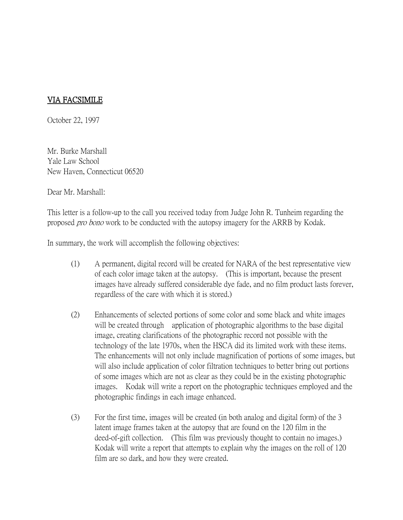## VIA FACSIMILE

October 22, 1997

Mr. Burke Marshall Yale Law School New Haven, Connecticut 06520

Dear Mr. Marshall:

This letter is a follow-up to the call you received today from Judge John R. Tunheim regarding the proposed pro bono work to be conducted with the autopsy imagery for the ARRB by Kodak.

In summary, the work will accomplish the following objectives:

- (1) A permanent, digital record will be created for NARA of the best representative view of each color image taken at the autopsy. (This is important, because the present images have already suffered considerable dye fade, and no film product lasts forever, regardless of the care with which it is stored.)
- (2) Enhancements of selected portions of some color and some black and white images will be created through application of photographic algorithms to the base digital image, creating clarifications of the photographic record not possible with the technology of the late 1970s, when the HSCA did its limited work with these items. The enhancements will not only include magnification of portions of some images, but will also include application of color filtration techniques to better bring out portions of some images which are not as clear as they could be in the existing photographic images. Kodak will write a report on the photographic techniques employed and the photographic findings in each image enhanced.
- (3) For the first time, images will be created (in both analog and digital form) of the 3 latent image frames taken at the autopsy that are found on the 120 film in the deed-of-gift collection. (This film was previously thought to contain no images.) Kodak will write a report that attempts to explain why the images on the roll of 120 film are so dark, and how they were created.